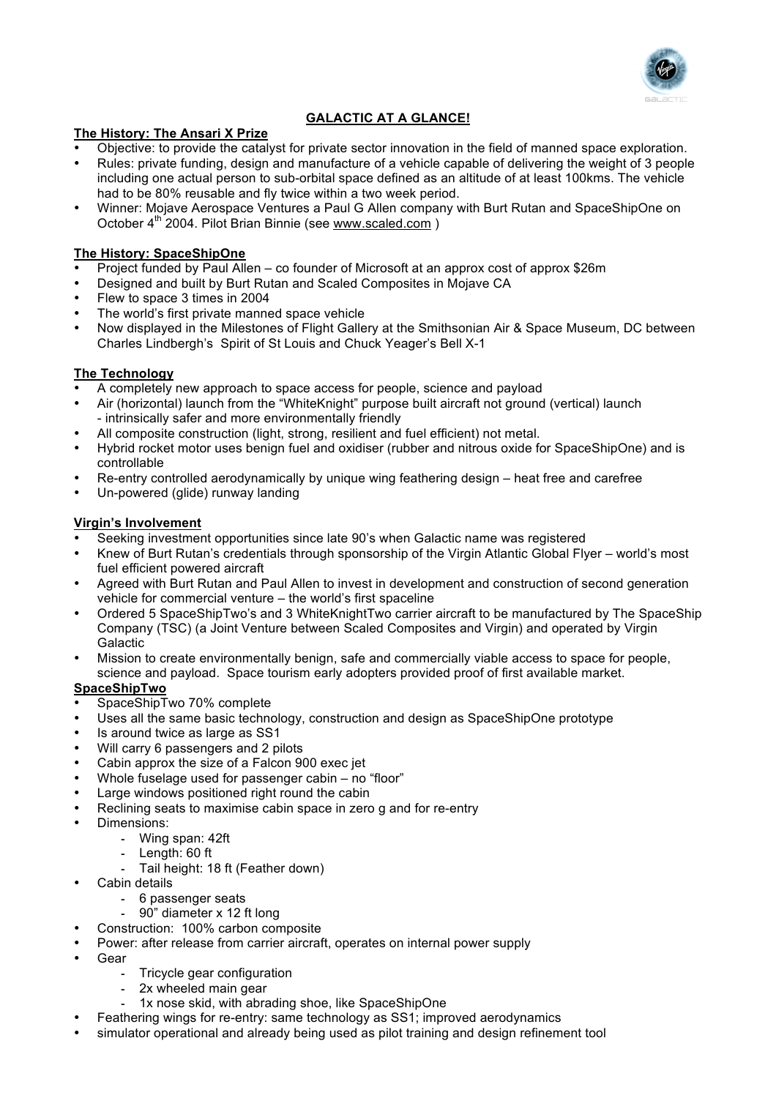

# **GALACTIC AT A GLANCE!**

#### **The History: The Ansari X Prize**

- Objective: to provide the catalyst for private sector innovation in the field of manned space exploration.
- Rules: private funding, design and manufacture of a vehicle capable of delivering the weight of 3 people including one actual person to sub-orbital space defined as an altitude of at least 100kms. The vehicle had to be 80% reusable and fly twice within a two week period.
- Winner: Mojave Aerospace Ventures a Paul G Allen company with Burt Rutan and SpaceShipOne on October 4th 2004. Pilot Brian Binnie (see www.scaled.com )

#### **The History: SpaceShipOne**

- Project funded by Paul Allen co founder of Microsoft at an approx cost of approx \$26m
- Designed and built by Burt Rutan and Scaled Composites in Mojave CA
- Flew to space 3 times in 2004
- The world's first private manned space vehicle
- Now displayed in the Milestones of Flight Gallery at the Smithsonian Air & Space Museum, DC between Charles Lindbergh's Spirit of St Louis and Chuck Yeager's Bell X-1

### **The Technology**

- A completely new approach to space access for people, science and payload
- Air (horizontal) launch from the "WhiteKnight" purpose built aircraft not ground (vertical) launch - intrinsically safer and more environmentally friendly
- All composite construction (light, strong, resilient and fuel efficient) not metal.
- Hybrid rocket motor uses benign fuel and oxidiser (rubber and nitrous oxide for SpaceShipOne) and is controllable
- Re-entry controlled aerodynamically by unique wing feathering design heat free and carefree
- Un-powered (glide) runway landing

#### **Virgin's Involvement**

- Seeking investment opportunities since late 90's when Galactic name was registered
- Knew of Burt Rutan's credentials through sponsorship of the Virgin Atlantic Global Flyer world's most fuel efficient powered aircraft
- Agreed with Burt Rutan and Paul Allen to invest in development and construction of second generation vehicle for commercial venture – the world's first spaceline
- Ordered 5 SpaceShipTwo's and 3 WhiteKnightTwo carrier aircraft to be manufactured by The SpaceShip Company (TSC) (a Joint Venture between Scaled Composites and Virgin) and operated by Virgin Galactic
- Mission to create environmentally benign, safe and commercially viable access to space for people, science and payload. Space tourism early adopters provided proof of first available market.
- **SpaceShipTwo**
- SpaceShipTwo 70% complete
- Uses all the same basic technology, construction and design as SpaceShipOne prototype
- Is around twice as large as SS1
- Will carry 6 passengers and 2 pilots
- Cabin approx the size of a Falcon 900 exec jet
- Whole fuselage used for passenger cabin no "floor"
- Large windows positioned right round the cabin
- Reclining seats to maximise cabin space in zero g and for re-entry
- Dimensions:
	- Wing span: 42ft
	- Length: 60 ft
	- Tail height: 18 ft (Feather down)
- Cabin details
	- 6 passenger seats
		- 90" diameter x 12 ft long
- Construction: 100% carbon composite
- Power: after release from carrier aircraft, operates on internal power supply
- Gear
	- **Tricycle gear configuration**
	- 2x wheeled main gear
		- 1x nose skid, with abrading shoe, like SpaceShipOne
- Feathering wings for re-entry: same technology as SS1; improved aerodynamics
- simulator operational and already being used as pilot training and design refinement tool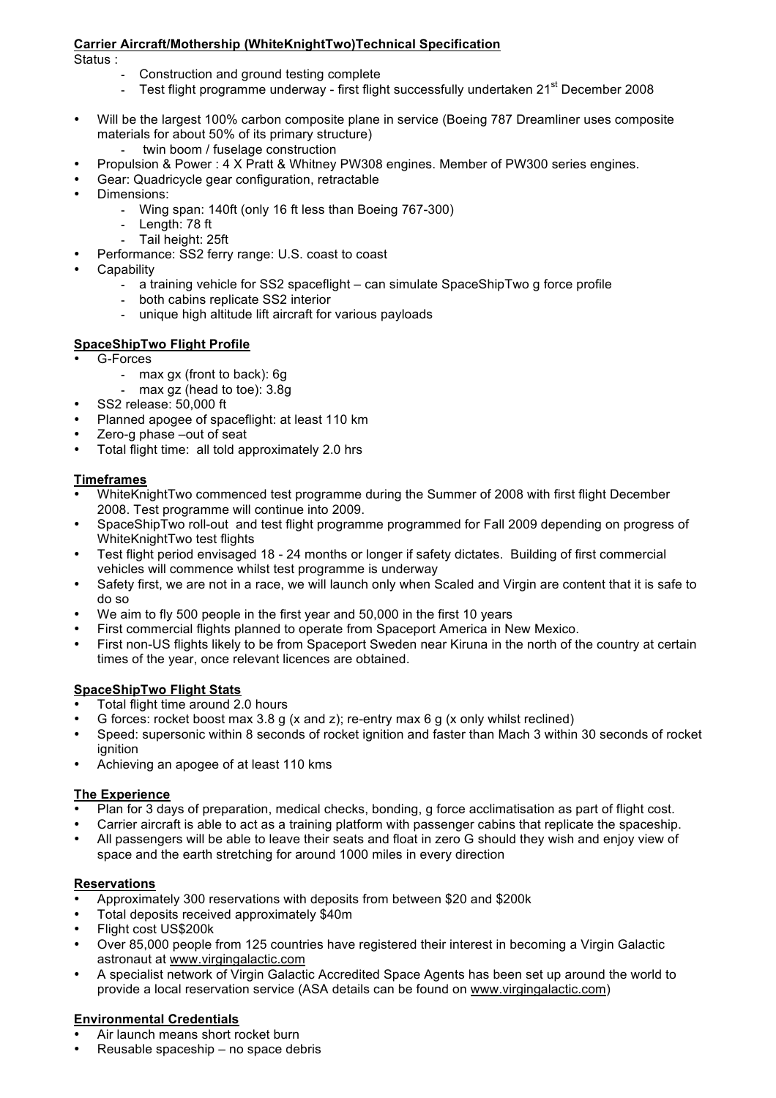### **Carrier Aircraft/Mothership (WhiteKnightTwo)Technical Specification**

Status :

- ! Construction and ground testing complete
- Test flight programme underway first flight successfully undertaken 21<sup>st</sup> December 2008
- Will be the largest 100% carbon composite plane in service (Boeing 787 Dreamliner uses composite materials for about 50% of its primary structure)
	- twin boom / fuselage construction
- Propulsion & Power : 4 X Pratt & Whitney PW308 engines. Member of PW300 series engines.
	- Gear: Quadricycle gear configuration, retractable
- Dimensions:
	- ! Wing span: 140ft (only 16 ft less than Boeing 767-300)
	- Length: 78 ft
	- Tail height: 25ft
- Performance: SS2 ferry range: U.S. coast to coast
- **Capability** 
	- ! a training vehicle for SS2 spaceflight can simulate SpaceShipTwo g force profile
	- both cabins replicate SS2 interior
	- unique high altitude lift aircraft for various payloads

### **SpaceShipTwo Flight Profile**

- G-Forces
	- max gx (front to back): 6g
	- max gz (head to toe): 3.8g
- SS2 release: 50,000 ft
- Planned apogee of spaceflight: at least 110 km
- Zero-g phase –out of seat
- Total flight time: all told approximately 2.0 hrs

### **Timeframes**

- WhiteKnightTwo commenced test programme during the Summer of 2008 with first flight December 2008. Test programme will continue into 2009.
- SpaceShipTwo roll-out and test flight programme programmed for Fall 2009 depending on progress of WhiteKnightTwo test flights
- Test flight period envisaged 18 24 months or longer if safety dictates. Building of first commercial vehicles will commence whilst test programme is underway
- Safety first, we are not in a race, we will launch only when Scaled and Virgin are content that it is safe to do so
- We aim to fly 500 people in the first year and 50,000 in the first 10 years
- First commercial flights planned to operate from Spaceport America in New Mexico.
- First non-US flights likely to be from Spaceport Sweden near Kiruna in the north of the country at certain times of the year, once relevant licences are obtained.

#### **SpaceShipTwo Flight Stats**

- Total flight time around 2.0 hours
- G forces: rocket boost max 3.8 g (x and z); re-entry max 6 g (x only whilst reclined)
- Speed: supersonic within 8 seconds of rocket ignition and faster than Mach 3 within 30 seconds of rocket ignition
- Achieving an apogee of at least 110 kms

#### **The Experience**

- Plan for 3 days of preparation, medical checks, bonding, g force acclimatisation as part of flight cost.
- Carrier aircraft is able to act as a training platform with passenger cabins that replicate the spaceship.
- All passengers will be able to leave their seats and float in zero G should they wish and enjoy view of space and the earth stretching for around 1000 miles in every direction

# **Reservations**

- Approximately 300 reservations with deposits from between \$20 and \$200k
- Total deposits received approximately \$40m
- Flight cost US\$200k
- Over 85,000 people from 125 countries have registered their interest in becoming a Virgin Galactic astronaut at www.virgingalactic.com
- A specialist network of Virgin Galactic Accredited Space Agents has been set up around the world to provide a local reservation service (ASA details can be found on www.virgingalactic.com)

# **Environmental Credentials**

- Air launch means short rocket burn
- Reusable spaceship no space debris